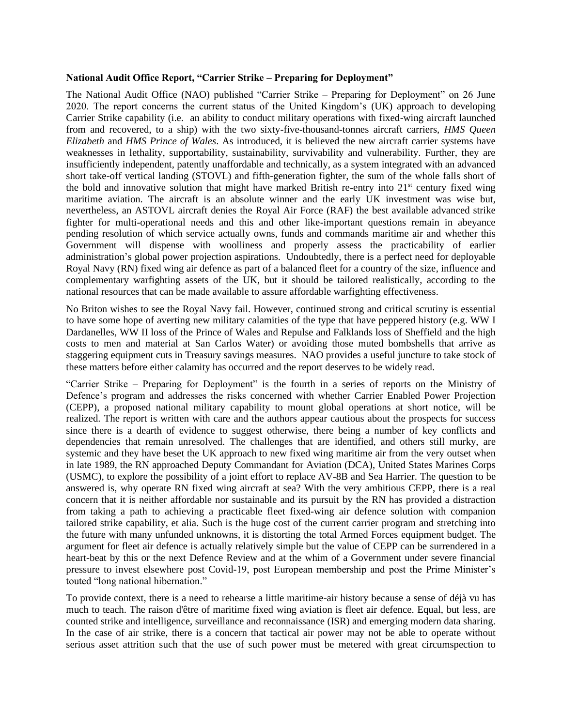## **National Audit Office Report, "Carrier Strike – Preparing for Deployment"**

The National Audit Office (NAO) published "Carrier Strike – Preparing for Deployment" on 26 June 2020. The report concerns the current status of the United Kingdom's (UK) approach to developing Carrier Strike capability (i.e. an ability to conduct military operations with fixed-wing aircraft launched from and recovered, to a ship) with the two sixty-five-thousand-tonnes aircraft carriers, *HMS Queen Elizabeth* and *HMS Prince of Wales*. As introduced, it is believed the new aircraft carrier systems have weaknesses in lethality, supportability, sustainability, survivability and vulnerability. Further, they are insufficiently independent, patently unaffordable and technically, as a system integrated with an advanced short take-off vertical landing (STOVL) and fifth-generation fighter, the sum of the whole falls short of the bold and innovative solution that might have marked British re-entry into  $21<sup>st</sup>$  century fixed wing maritime aviation. The aircraft is an absolute winner and the early UK investment was wise but, nevertheless, an ASTOVL aircraft denies the Royal Air Force (RAF) the best available advanced strike fighter for multi-operational needs and this and other like-important questions remain in abeyance pending resolution of which service actually owns, funds and commands maritime air and whether this Government will dispense with woolliness and properly assess the practicability of earlier administration's global power projection aspirations. Undoubtedly, there is a perfect need for deployable Royal Navy (RN) fixed wing air defence as part of a balanced fleet for a country of the size, influence and complementary warfighting assets of the UK, but it should be tailored realistically, according to the national resources that can be made available to assure affordable warfighting effectiveness.

No Briton wishes to see the Royal Navy fail. However, continued strong and critical scrutiny is essential to have some hope of averting new military calamities of the type that have peppered history (e.g. WW I Dardanelles, WW II loss of the Prince of Wales and Repulse and Falklands loss of Sheffield and the high costs to men and material at San Carlos Water) or avoiding those muted bombshells that arrive as staggering equipment cuts in Treasury savings measures. NAO provides a useful juncture to take stock of these matters before either calamity has occurred and the report deserves to be widely read.

"Carrier Strike – Preparing for Deployment" is the fourth in a series of reports on the Ministry of Defence's program and addresses the risks concerned with whether Carrier Enabled Power Projection (CEPP), a proposed national military capability to mount global operations at short notice, will be realized. The report is written with care and the authors appear cautious about the prospects for success since there is a dearth of evidence to suggest otherwise, there being a number of key conflicts and dependencies that remain unresolved. The challenges that are identified, and others still murky, are systemic and they have beset the UK approach to new fixed wing maritime air from the very outset when in late 1989, the RN approached Deputy Commandant for Aviation (DCA), United States Marines Corps (USMC), to explore the possibility of a joint effort to replace AV-8B and Sea Harrier. The question to be answered is, why operate RN fixed wing aircraft at sea? With the very ambitious CEPP, there is a real concern that it is neither affordable nor sustainable and its pursuit by the RN has provided a distraction from taking a path to achieving a practicable fleet fixed-wing air defence solution with companion tailored strike capability, et alia. Such is the huge cost of the current carrier program and stretching into the future with many unfunded unknowns, it is distorting the total Armed Forces equipment budget. The argument for fleet air defence is actually relatively simple but the value of CEPP can be surrendered in a heart-beat by this or the next Defence Review and at the whim of a Government under severe financial pressure to invest elsewhere post Covid-19, post European membership and post the Prime Minister's touted "long national hibernation."

To provide context, there is a need to rehearse a little maritime-air history because a sense of déjà vu has much to teach. The raison d'être of maritime fixed wing aviation is fleet air defence. Equal, but less, are counted strike and intelligence, surveillance and reconnaissance (ISR) and emerging modern data sharing. In the case of air strike, there is a concern that tactical air power may not be able to operate without serious asset attrition such that the use of such power must be metered with great circumspection to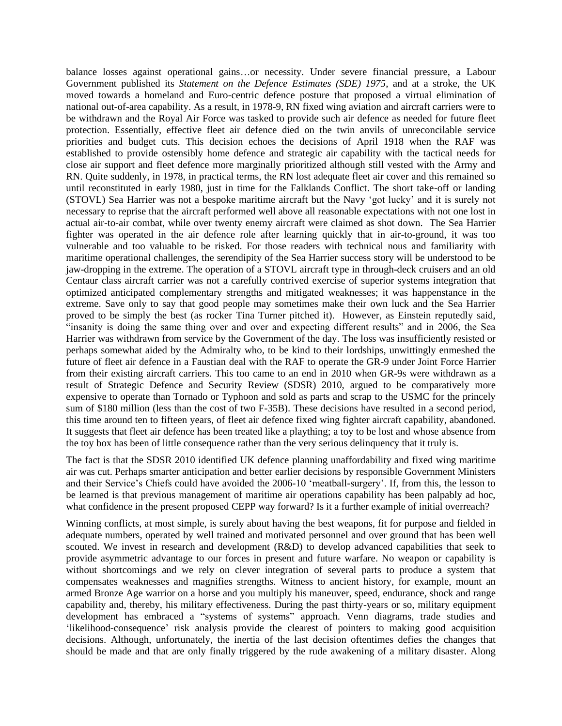balance losses against operational gains…or necessity. Under severe financial pressure, a Labour Government published its *Statement on the Defence Estimates (SDE) 1975*, and at a stroke, the UK moved towards a homeland and Euro-centric defence posture that proposed a virtual elimination of national out-of-area capability. As a result, in 1978-9, RN fixed wing aviation and aircraft carriers were to be withdrawn and the Royal Air Force was tasked to provide such air defence as needed for future fleet protection. Essentially, effective fleet air defence died on the twin anvils of unreconcilable service priorities and budget cuts. This decision echoes the decisions of April 1918 when the RAF was established to provide ostensibly home defence and strategic air capability with the tactical needs for close air support and fleet defence more marginally prioritized although still vested with the Army and RN. Quite suddenly, in 1978, in practical terms, the RN lost adequate fleet air cover and this remained so until reconstituted in early 1980, just in time for the Falklands Conflict. The short take-off or landing (STOVL) Sea Harrier was not a bespoke maritime aircraft but the Navy 'got lucky' and it is surely not necessary to reprise that the aircraft performed well above all reasonable expectations with not one lost in actual air-to-air combat, while over twenty enemy aircraft were claimed as shot down. The Sea Harrier fighter was operated in the air defence role after learning quickly that in air-to-ground, it was too vulnerable and too valuable to be risked. For those readers with technical nous and familiarity with maritime operational challenges, the serendipity of the Sea Harrier success story will be understood to be jaw-dropping in the extreme. The operation of a STOVL aircraft type in through-deck cruisers and an old Centaur class aircraft carrier was not a carefully contrived exercise of superior systems integration that optimized anticipated complementary strengths and mitigated weaknesses; it was happenstance in the extreme. Save only to say that good people may sometimes make their own luck and the Sea Harrier proved to be simply the best (as rocker Tina Turner pitched it). However, as Einstein reputedly said, "insanity is doing the same thing over and over and expecting different results" and in 2006, the Sea Harrier was withdrawn from service by the Government of the day. The loss was insufficiently resisted or perhaps somewhat aided by the Admiralty who, to be kind to their lordships, unwittingly enmeshed the future of fleet air defence in a Faustian deal with the RAF to operate the GR-9 under Joint Force Harrier from their existing aircraft carriers. This too came to an end in 2010 when GR-9s were withdrawn as a result of Strategic Defence and Security Review (SDSR) 2010, argued to be comparatively more expensive to operate than Tornado or Typhoon and sold as parts and scrap to the USMC for the princely sum of \$180 million (less than the cost of two F-35B). These decisions have resulted in a second period, this time around ten to fifteen years, of fleet air defence fixed wing fighter aircraft capability, abandoned. It suggests that fleet air defence has been treated like a plaything; a toy to be lost and whose absence from the toy box has been of little consequence rather than the very serious delinquency that it truly is.

The fact is that the SDSR 2010 identified UK defence planning unaffordability and fixed wing maritime air was cut. Perhaps smarter anticipation and better earlier decisions by responsible Government Ministers and their Service's Chiefs could have avoided the 2006-10 'meatball-surgery'. If, from this, the lesson to be learned is that previous management of maritime air operations capability has been palpably ad hoc, what confidence in the present proposed CEPP way forward? Is it a further example of initial overreach?

Winning conflicts, at most simple, is surely about having the best weapons, fit for purpose and fielded in adequate numbers, operated by well trained and motivated personnel and over ground that has been well scouted. We invest in research and development (R&D) to develop advanced capabilities that seek to provide asymmetric advantage to our forces in present and future warfare. No weapon or capability is without shortcomings and we rely on clever integration of several parts to produce a system that compensates weaknesses and magnifies strengths. Witness to ancient history, for example, mount an armed Bronze Age warrior on a horse and you multiply his maneuver, speed, endurance, shock and range capability and, thereby, his military effectiveness. During the past thirty-years or so, military equipment development has embraced a "systems of systems" approach. Venn diagrams, trade studies and 'likelihood-consequence' risk analysis provide the clearest of pointers to making good acquisition decisions. Although, unfortunately, the inertia of the last decision oftentimes defies the changes that should be made and that are only finally triggered by the rude awakening of a military disaster. Along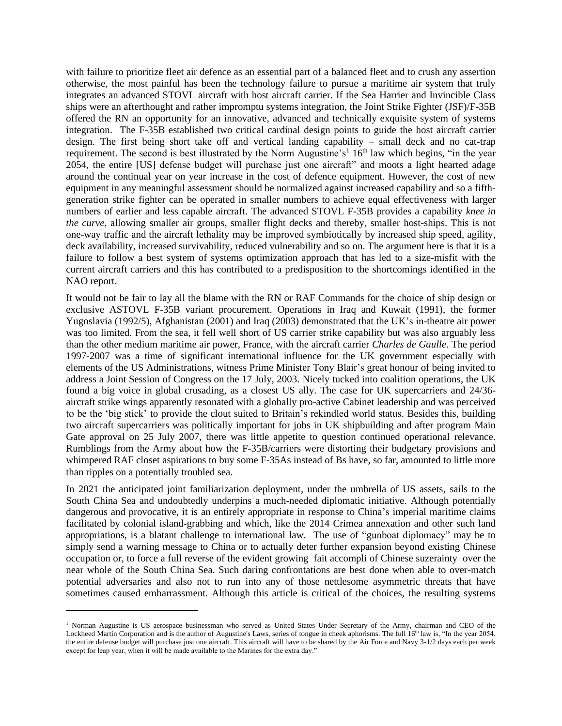with failure to prioritize fleet air defence as an essential part of a balanced fleet and to crush any assertion otherwise, the most painful has been the technology failure to pursue a maritime air system that truly integrates an advanced STOVL aircraft with host aircraft carrier. If the Sea Harrier and Invincible Class ships were an afterthought and rather impromptu systems integration, the Joint Strike Fighter (JSF)/F-35B offered the RN an opportunity for an innovative, advanced and technically exquisite system of systems integration. The F-35B established two critical cardinal design points to guide the host aircraft carrier design. The first being short take off and vertical landing capability – small deck and no cat-trap requirement. The second is best illustrated by the Norm Augustine's<sup>1</sup> 16<sup>th</sup> law which begins, "in the year 2054, the entire [US] defense budget will purchase just one aircraft" and moots a light hearted adage around the continual year on year increase in the cost of defence equipment. However, the cost of new equipment in any meaningful assessment should be normalized against increased capability and so a fifthgeneration strike fighter can be operated in smaller numbers to achieve equal effectiveness with larger numbers of earlier and less capable aircraft. The advanced STOVL F-35B provides a capability *knee in the curve*, allowing smaller air groups, smaller flight decks and thereby, smaller host-ships. This is not one-way traffic and the aircraft lethality may be improved symbiotically by increased ship speed, agility, deck availability, increased survivability, reduced vulnerability and so on. The argument here is that it is a failure to follow a best system of systems optimization approach that has led to a size-misfit with the current aircraft carriers and this has contributed to a predisposition to the shortcomings identified in the NAO report.

It would not be fair to lay all the blame with the RN or RAF Commands for the choice of ship design or exclusive ASTOVL F-35B variant procurement. Operations in Iraq and Kuwait (1991), the former Yugoslavia (1992/5), Afghanistan (2001) and Iraq (2003) demonstrated that the UK's in-theatre air power was too limited. From the sea, it fell well short of US carrier strike capability but was also arguably less than the other medium maritime air power, France, with the aircraft carrier *Charles de Gaulle*. The period 1997-2007 was a time of significant international influence for the UK government especially with elements of the US Administrations, witness Prime Minister Tony Blair's great honour of being invited to address a Joint Session of Congress on the 17 July, 2003. Nicely tucked into coalition operations, the UK found a big voice in global crusading, as a closest US ally. The case for UK supercarriers and 24/36 aircraft strike wings apparently resonated with a globally pro-active Cabinet leadership and was perceived to be the 'big stick' to provide the clout suited to Britain's rekindled world status. Besides this, building two aircraft supercarriers was politically important for jobs in UK shipbuilding and after program Main Gate approval on 25 July 2007, there was little appetite to question continued operational relevance. Rumblings from the Army about how the F-35B/carriers were distorting their budgetary provisions and whimpered RAF closet aspirations to buy some F-35As instead of Bs have, so far, amounted to little more than ripples on a potentially troubled sea.

In 2021 the anticipated joint familiarization deployment, under the umbrella of US assets, sails to the South China Sea and undoubtedly underpins a much-needed diplomatic initiative. Although potentially dangerous and provocative, it is an entirely appropriate in response to China's imperial maritime claims facilitated by colonial island-grabbing and which, like the 2014 Crimea annexation and other such land appropriations, is a blatant challenge to international law. The use of "gunboat diplomacy" may be to simply send a warning message to China or to actually deter further expansion beyond existing Chinese occupation or, to force a full reverse of the evident growing [fait accompli](https://en.wikipedia.org/wiki/Fait_accompli) of Chinese suzerainty over the near whole of the South China Sea. Such daring confrontations are best done when able to over-match potential adversaries and also not to run into any of those nettlesome asymmetric threats that have sometimes caused embarrassment. Although this article is critical of the choices, the resulting systems

<sup>&</sup>lt;sup>1</sup> Norman Augustine is US aerospace businessman who served as [United States Under Secretary of the Army,](https://en.wikipedia.org/wiki/United_States_Under_Secretary_of_the_Army) chairman and CEO of the Lockheed Martin Corporation and is the author of Augustine's Laws, series of [tongue in cheek](https://en.wikipedia.org/wiki/Tongue_in_cheek) [aphorisms.](https://en.wikipedia.org/wiki/Aphorisms) The full 16<sup>th</sup> law is, "In the year 2054, the entire defense budget will purchase just one aircraft. This aircraft will have to be shared by the Air Force and Navy 3-1/2 days each per week except for leap year, when it will be made available to the Marines for the extra day."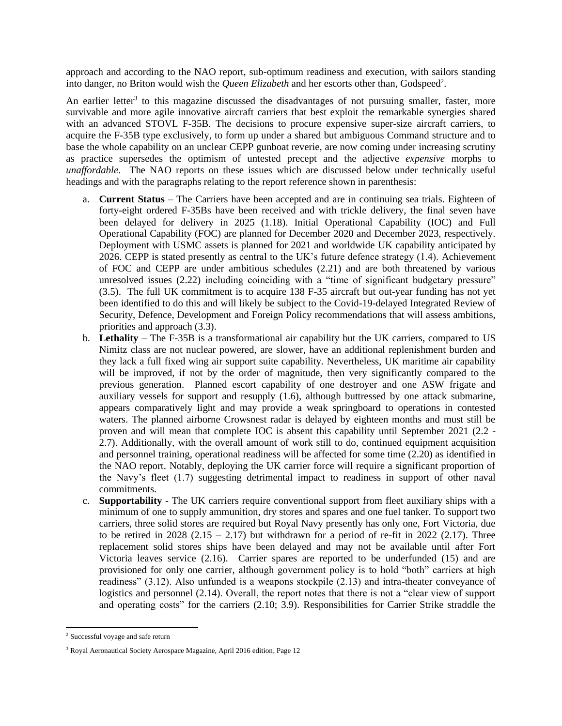approach and according to the NAO report, sub-optimum readiness and execution, with sailors standing into danger, no Briton would wish the *Queen Elizabeth* and her escorts other than, Godspeed<sup>2</sup>.

An earlier letter<sup>3</sup> to this magazine discussed the disadvantages of not pursuing smaller, faster, more survivable and more agile innovative aircraft carriers that best exploit the remarkable synergies shared with an advanced STOVL F-35B. The decisions to procure expensive super-size aircraft carriers, to acquire the F-35B type exclusively, to form up under a shared but ambiguous Command structure and to base the whole capability on an unclear CEPP gunboat reverie, are now coming under increasing scrutiny as practice supersedes the optimism of untested precept and the adjective *expensive* morphs to *unaffordable*. The NAO reports on these issues which are discussed below under technically useful headings and with the paragraphs relating to the report reference shown in parenthesis:

- a. **Current Status** The Carriers have been accepted and are in continuing sea trials. Eighteen of forty-eight ordered F-35Bs have been received and with trickle delivery, the final seven have been delayed for delivery in 2025 (1.18). Initial Operational Capability (IOC) and Full Operational Capability (FOC) are planned for December 2020 and December 2023, respectively. Deployment with USMC assets is planned for 2021 and worldwide UK capability anticipated by 2026. CEPP is stated presently as central to the UK's future defence strategy (1.4). Achievement of FOC and CEPP are under ambitious schedules (2.21) and are both threatened by various unresolved issues (2.22) including coinciding with a "time of significant budgetary pressure" (3.5). The full UK commitment is to acquire 138 F-35 aircraft but out-year funding has not yet been identified to do this and will likely be subject to the Covid-19-delayed Integrated Review of Security, Defence, Development and Foreign Policy recommendations that will assess ambitions, priorities and approach (3.3).
- b. **Lethality** The F-35B is a transformational air capability but the UK carriers, compared to US Nimitz class are not nuclear powered, are slower, have an additional replenishment burden and they lack a full fixed wing air support suite capability. Nevertheless, UK maritime air capability will be improved, if not by the order of magnitude, then very significantly compared to the previous generation. Planned escort capability of one destroyer and one ASW frigate and auxiliary vessels for support and resupply (1.6), although buttressed by one attack submarine, appears comparatively light and may provide a weak springboard to operations in contested waters. The planned airborne Crowsnest radar is delayed by eighteen months and must still be proven and will mean that complete IOC is absent this capability until September 2021 (2.2 - 2.7). Additionally, with the overall amount of work still to do, continued equipment acquisition and personnel training, operational readiness will be affected for some time (2.20) as identified in the NAO report. Notably, deploying the UK carrier force will require a significant proportion of the Navy's fleet (1.7) suggesting detrimental impact to readiness in support of other naval commitments.
- c. **Supportability** The UK carriers require conventional support from fleet auxiliary ships with a minimum of one to supply ammunition, dry stores and spares and one fuel tanker. To support two carriers, three solid stores are required but Royal Navy presently has only one, Fort Victoria, due to be retired in 2028  $(2.15 - 2.17)$  but withdrawn for a period of re-fit in 2022  $(2.17)$ . Three replacement solid stores ships have been delayed and may not be available until after Fort Victoria leaves service (2.16). Carrier spares are reported to be underfunded (15) and are provisioned for only one carrier, although government policy is to hold "both" carriers at high readiness" (3.12). Also unfunded is a weapons stockpile (2.13) and intra-theater conveyance of logistics and personnel (2.14). Overall, the report notes that there is not a "clear view of support and operating costs" for the carriers (2.10; 3.9). Responsibilities for Carrier Strike straddle the

<sup>2</sup> Successful voyage and safe return

<sup>3</sup> Royal Aeronautical Society Aerospace Magazine, April 2016 edition, Page 12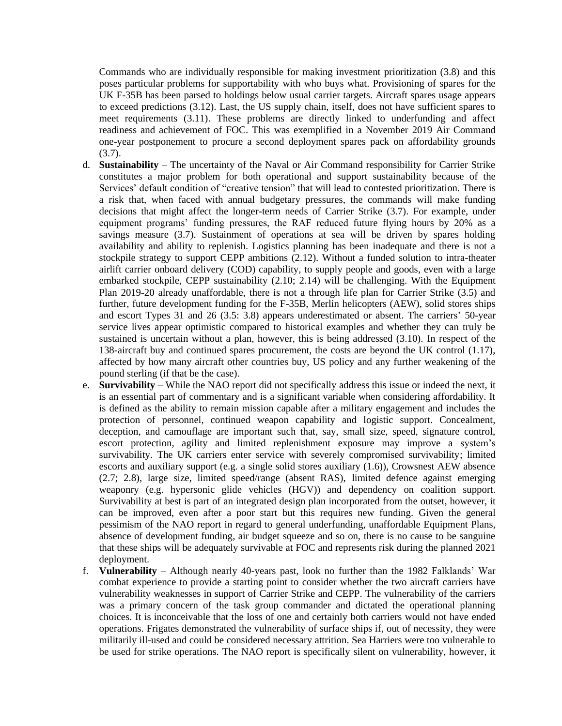Commands who are individually responsible for making investment prioritization (3.8) and this poses particular problems for supportability with who buys what. Provisioning of spares for the UK F-35B has been parsed to holdings below usual carrier targets. Aircraft spares usage appears to exceed predictions (3.12). Last, the US supply chain, itself, does not have sufficient spares to meet requirements (3.11). These problems are directly linked to underfunding and affect readiness and achievement of FOC. This was exemplified in a November 2019 Air Command one-year postponement to procure a second deployment spares pack on affordability grounds (3.7).

- d. **Sustainability** The uncertainty of the Naval or Air Command responsibility for Carrier Strike constitutes a major problem for both operational and support sustainability because of the Services' default condition of "creative tension" that will lead to contested prioritization. There is a risk that, when faced with annual budgetary pressures, the commands will make funding decisions that might affect the longer-term needs of Carrier Strike (3.7). For example, under equipment programs' funding pressures, the RAF reduced future flying hours by 20% as a savings measure (3.7). Sustainment of operations at sea will be driven by spares holding availability and ability to replenish. Logistics planning has been inadequate and there is not a stockpile strategy to support CEPP ambitions (2.12). Without a funded solution to intra-theater airlift carrier onboard delivery (COD) capability, to supply people and goods, even with a large embarked stockpile, CEPP sustainability (2.10; 2.14) will be challenging. With the Equipment Plan 2019-20 already unaffordable, there is not a through life plan for Carrier Strike (3.5) and further, future development funding for the F-35B, Merlin helicopters (AEW), solid stores ships and escort Types 31 and 26 (3.5: 3.8) appears underestimated or absent. The carriers' 50-year service lives appear optimistic compared to historical examples and whether they can truly be sustained is uncertain without a plan, however, this is being addressed (3.10). In respect of the 138-aircraft buy and continued spares procurement, the costs are beyond the UK control (1.17), affected by how many aircraft other countries buy, US policy and any further weakening of the pound sterling (if that be the case).
- e. **Survivability**  While the NAO report did not specifically address this issue or indeed the next, it is an essential part of commentary and is a significant variable when considering affordability. It is defined as the ability to remain mission capable after a military engagement and includes the protection of personnel, continued weapon capability and logistic support. Concealment, deception, and camouflage are important such that, say, small size, speed, signature control, escort protection, agility and limited replenishment exposure may improve a system's survivability. The UK carriers enter service with severely compromised survivability; limited escorts and auxiliary support (e.g. a single solid stores auxiliary (1.6)), Crowsnest AEW absence (2.7; 2.8), large size, limited speed/range (absent RAS), limited defence against emerging weaponry (e.g. hypersonic glide vehicles (HGV)) and dependency on coalition support. Survivability at best is part of an integrated design plan incorporated from the outset, however, it can be improved, even after a poor start but this requires new funding. Given the general pessimism of the NAO report in regard to general underfunding, unaffordable Equipment Plans, absence of development funding, air budget squeeze and so on, there is no cause to be sanguine that these ships will be adequately survivable at FOC and represents risk during the planned 2021 deployment.
- f. **Vulnerability**  Although nearly 40-years past, look no further than the 1982 Falklands' War combat experience to provide a starting point to consider whether the two aircraft carriers have vulnerability weaknesses in support of Carrier Strike and CEPP. The vulnerability of the carriers was a primary concern of the task group commander and dictated the operational planning choices. It is inconceivable that the loss of one and certainly both carriers would not have ended operations. Frigates demonstrated the vulnerability of surface ships if, out of necessity, they were militarily ill-used and could be considered necessary attrition. Sea Harriers were too vulnerable to be used for strike operations. The NAO report is specifically silent on vulnerability, however, it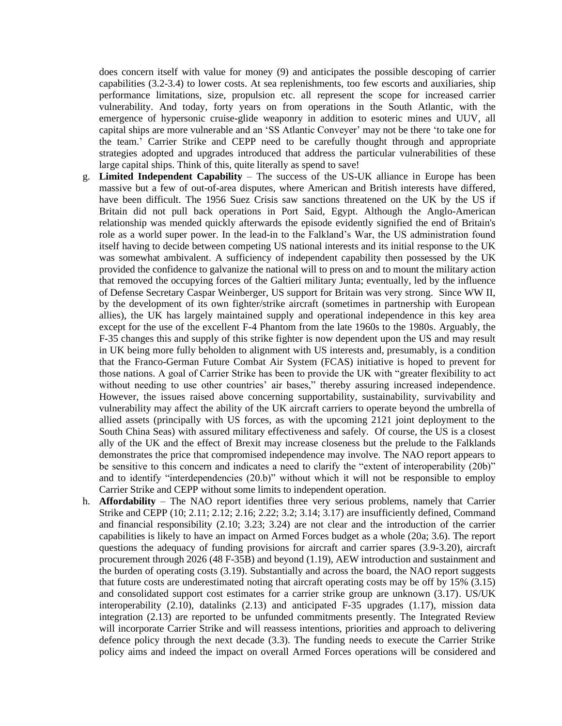does concern itself with value for money (9) and anticipates the possible descoping of carrier capabilities (3.2-3.4) to lower costs. At sea replenishments, too few escorts and auxiliaries, ship performance limitations, size, propulsion etc. all represent the scope for increased carrier vulnerability. And today, forty years on from operations in the South Atlantic, with the emergence of hypersonic cruise-glide weaponry in addition to esoteric mines and UUV, all capital ships are more vulnerable and an 'SS Atlantic Conveyer' may not be there 'to take one for the team.' Carrier Strike and CEPP need to be carefully thought through and appropriate strategies adopted and upgrades introduced that address the particular vulnerabilities of these large capital ships. Think of this, quite literally as spend to save!

- g. **Limited Independent Capability**  The success of the US-UK alliance in Europe has been massive but a few of out-of-area disputes, where American and British interests have differed, have been difficult. The 1956 Suez Crisis saw sanctions threatened on the UK by the US if Britain did not pull back operations in Port Said, Egypt. Although the Anglo-American relationship was mended quickly afterwards the episode evidently signified the end of Britain's role as a world super power. In the lead-in to the Falkland's War, the US administration found itself having to decide between competing US national interests and its initial response to the UK was somewhat ambivalent. A sufficiency of independent capability then possessed by the UK provided the confidence to galvanize the national will to press on and to mount the military action that removed the occupying forces of the Galtieri military Junta; eventually, led by the influence of Defense Secretary Caspar Weinberger, US support for Britain was very strong. Since WW II, by the development of its own fighter/strike aircraft (sometimes in partnership with European allies), the UK has largely maintained supply and operational independence in this key area except for the use of the excellent F-4 Phantom from the late 1960s to the 1980s. Arguably, the F-35 changes this and supply of this strike fighter is now dependent upon the US and may result in UK being more fully beholden to alignment with US interests and, presumably, is a condition that the Franco-German Future Combat Air System (FCAS) initiative is hoped to prevent for those nations. A goal of Carrier Strike has been to provide the UK with "greater flexibility to act without needing to use other countries' air bases," thereby assuring increased independence. However, the issues raised above concerning supportability, sustainability, survivability and vulnerability may affect the ability of the UK aircraft carriers to operate beyond the umbrella of allied assets (principally with US forces, as with the upcoming 2121 joint deployment to the South China Seas) with assured military effectiveness and safely. Of course, the US is a closest ally of the UK and the effect of Brexit may increase closeness but the prelude to the Falklands demonstrates the price that compromised independence may involve. The NAO report appears to be sensitive to this concern and indicates a need to clarify the "extent of interoperability (20b)" and to identify "interdependencies (20.b)" without which it will not be responsible to employ Carrier Strike and CEPP without some limits to independent operation.
- h. **Affordability**  The NAO report identifies three very serious problems, namely that Carrier Strike and CEPP (10; 2.11; 2.12; 2.16; 2.22; 3.2; 3.14; 3.17) are insufficiently defined, Command and financial responsibility (2.10; 3.23; 3.24) are not clear and the introduction of the carrier capabilities is likely to have an impact on Armed Forces budget as a whole (20a; 3.6). The report questions the adequacy of funding provisions for aircraft and carrier spares (3.9-3.20), aircraft procurement through 2026 (48 F-35B) and beyond (1.19), AEW introduction and sustainment and the burden of operating costs (3.19). Substantially and across the board, the NAO report suggests that future costs are underestimated noting that aircraft operating costs may be off by 15% (3.15) and consolidated support cost estimates for a carrier strike group are unknown (3.17). US/UK interoperability (2.10), datalinks (2.13) and anticipated F-35 upgrades (1.17), mission data integration (2.13) are reported to be unfunded commitments presently. The Integrated Review will incorporate Carrier Strike and will reassess intentions, priorities and approach to delivering defence policy through the next decade (3.3). The funding needs to execute the Carrier Strike policy aims and indeed the impact on overall Armed Forces operations will be considered and